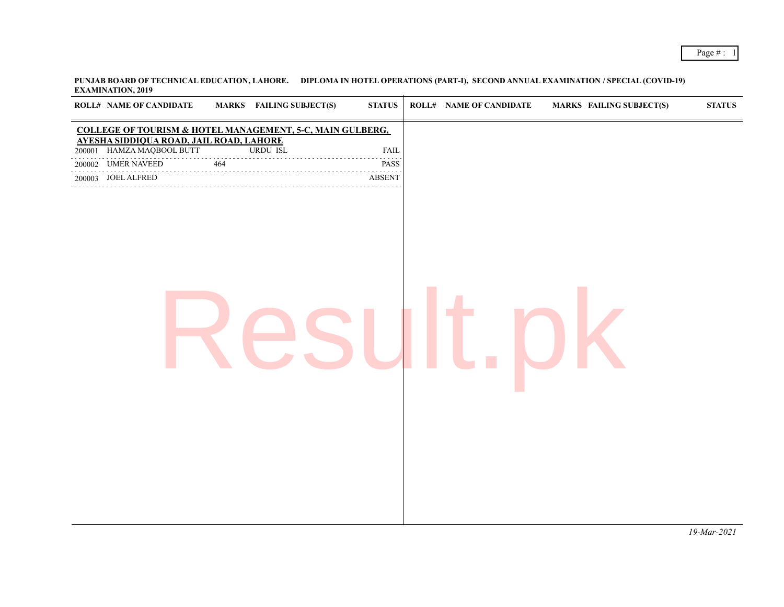**PUNJAB BOARD OF TECHNICAL EDUCATION, LAHORE. DIPLOMA IN HOTEL OPERATIONS (PART-I), SECOND ANNUAL EXAMINATION / SPECIAL (COVID-19) EXAMINATION, 2019**

| <b>COLLEGE OF TOURISM &amp; HOTEL MANAGEMENT, 5-C, MAIN GULBERG,</b><br>AYESHA SIDDIQUA ROAD, JAIL ROAD, LAHORE<br>HAMZA MAQBOOL BUTT<br><b>URDU ISL</b><br><b>FAIL</b><br>200001<br>$\frac{1}{464}$<br>200002 UMER NAVEED<br>PASS<br>.<br>200003 JOEL ALFRED<br><b>ABSENT</b> |
|--------------------------------------------------------------------------------------------------------------------------------------------------------------------------------------------------------------------------------------------------------------------------------|
|                                                                                                                                                                                                                                                                                |
|                                                                                                                                                                                                                                                                                |
|                                                                                                                                                                                                                                                                                |
|                                                                                                                                                                                                                                                                                |
|                                                                                                                                                                                                                                                                                |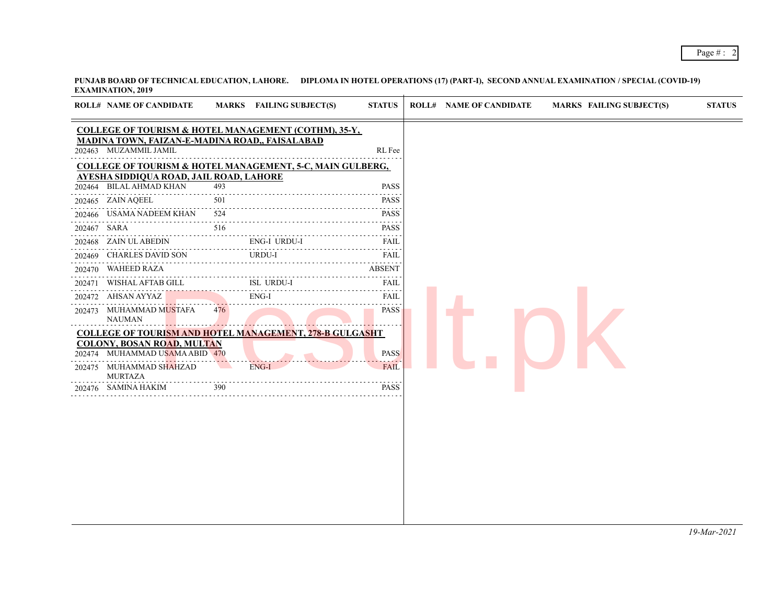**PUNJAB BOARD OF TECHNICAL EDUCATION, LAHORE. DIPLOMA IN HOTEL OPERATIONS (17) (PART-I), SECOND ANNUAL EXAMINATION / SPECIAL (COVID-19) EXAMINATION, 2019**

| <b>ROLL# NAME OF CANDIDATE</b>                                            |                 | MARKS FAILING SUBJECT(S) | <b>STATUS</b> | <b>ROLL# NAME OF CANDIDATE</b> | <b>MARKS FAILING SUBJECT(S)</b> |  |
|---------------------------------------------------------------------------|-----------------|--------------------------|---------------|--------------------------------|---------------------------------|--|
| <b>COLLEGE OF TOURISM &amp; HOTEL MANAGEMENT (COTHM), 35-Y,</b>           |                 |                          |               |                                |                                 |  |
| MADINA TOWN, FAIZAN-E-MADINA ROAD,, FAISALABAD<br>202463 MUZAMMIL JAMIL   |                 |                          | RL Fee        |                                |                                 |  |
| <b>COLLEGE OF TOURISM &amp; HOTEL MANAGEMENT, 5-C, MAIN GULBERG,</b>      |                 |                          |               |                                |                                 |  |
| <u>AYESHA SIDDIQUA ROAD, JAIL ROAD, LAHORE</u><br>202464 BILAL AHMAD KHAN | 493             |                          | <b>PASS</b>   |                                |                                 |  |
| 202465 ZAIN AQEEL                                                         | 501             |                          | <b>PASS</b>   |                                |                                 |  |
| 202466 USAMA NADEEM KHAN                                                  | 524             |                          | <b>PASS</b>   |                                |                                 |  |
| 202467 SARA                                                               | 516             |                          | <b>PASS</b>   |                                |                                 |  |
| 202468 ZAIN UL ABEDIN                                                     |                 | ENG-I URDU-I             | FAIL          |                                |                                 |  |
| 202469 CHARLES DAVID SON                                                  |                 | URDU-I                   |               |                                |                                 |  |
| 202470 WAHEED RAZA                                                        |                 |                          | <b>ABSENT</b> |                                |                                 |  |
| 202471 WISHAL AFTAB GILL                                                  |                 | ISL URDU-I               | FAIL          |                                |                                 |  |
| 202472 AHSAN AYYAZ                                                        |                 | $ENG-I$                  | <b>FAIL</b>   |                                |                                 |  |
| 202473 MUHAMMAD MUSTAFA<br><b>NAUMAN</b>                                  | 476             |                          | <b>PASS</b>   |                                |                                 |  |
| <b>COLLEGE OF TOURISM AND HOTEL MANAGEMENT, 278-B GULGASHT</b>            |                 |                          |               |                                |                                 |  |
| <b>COLONY, BOSAN ROAD, MULTAN</b><br>202474 MUHAMMAD USAMA ABID 470       |                 |                          | <b>PASS</b>   |                                |                                 |  |
| 202475 MUHAMMAD SHAHZAD<br><b>MURTAZA</b>                                 | <b>Contract</b> | $ENG-I$                  | <b>FAIL</b>   |                                |                                 |  |
| 202476 SAMINA HAKIM                                                       | 390             |                          | <b>PASS</b>   |                                |                                 |  |

*19-Mar-2021*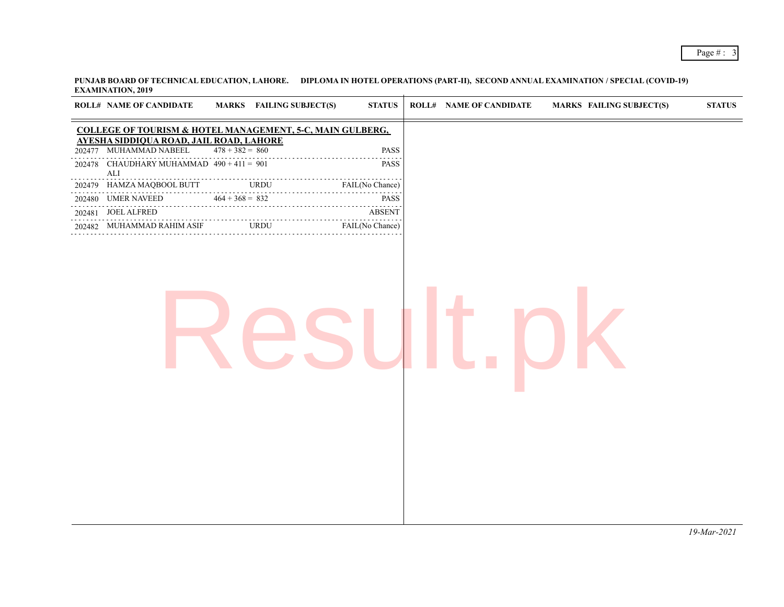## Page # : 3

**PUNJAB BOARD OF TECHNICAL EDUCATION, LAHORE. DIPLOMA IN HOTEL OPERATIONS (PART-II), SECOND ANNUAL EXAMINATION / SPECIAL (COVID-19) EXAMINATION, 2019**